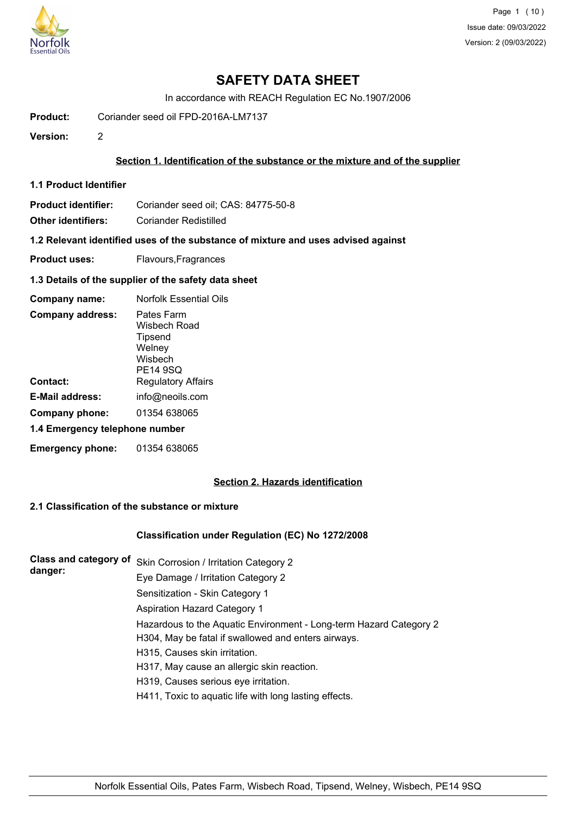

In accordance with REACH Regulation EC No.1907/2006

**Product:** Coriander seed oil FPD-2016A-LM7137

**Version:** 2

# **Section 1. Identification of the substance or the mixture and of the supplier**

**1.1 Product Identifier**

Product identifier: Coriander seed oil; CAS: 84775-50-8

**Other identifiers:** Coriander Redistilled

**1.2 Relevant identified uses of the substance of mixture and uses advised against**

**Product uses:** Flavours, Fragrances

### **1.3 Details of the supplier of the safety data sheet**

| Company name:                  | <b>Norfolk Essential Oils</b>                                          |
|--------------------------------|------------------------------------------------------------------------|
| <b>Company address:</b>        | Pates Farm<br>Wisbech Road<br>Tipsend<br>Welney<br>Wisbech<br>PE14 9SQ |
| Contact:                       | <b>Regulatory Affairs</b>                                              |
| E-Mail address:                | info@neoils.com                                                        |
| Company phone:                 | 01354 638065                                                           |
| 1.4 Emergency telephone number |                                                                        |
| <b>Emergency phone:</b>        | 01354 638065                                                           |

# **Section 2. Hazards identification**

# **2.1 Classification of the substance or mixture**

# **Classification under Regulation (EC) No 1272/2008**

**Class and category of** Skin Corrosion / Irritation Category 2 **danger:** Eye Damage / Irritation Category 2 Sensitization - Skin Category 1 Aspiration Hazard Category 1 Hazardous to the Aquatic Environment - Long-term Hazard Category 2 H304, May be fatal if swallowed and enters airways. H315, Causes skin irritation. H317, May cause an allergic skin reaction. H319, Causes serious eye irritation. H411, Toxic to aquatic life with long lasting effects.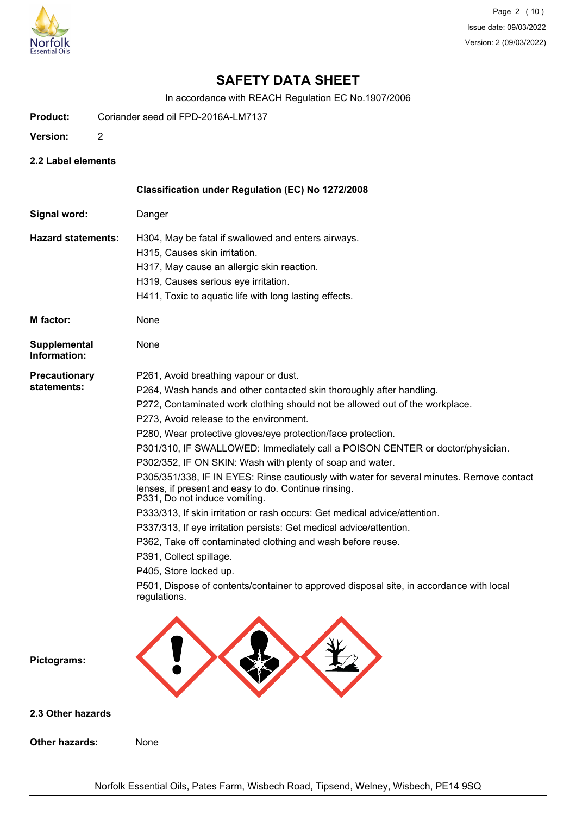

In accordance with REACH Regulation EC No.1907/2006

- **Product:** Coriander seed oil FPD-2016A-LM7137
- **Version:** 2
- **2.2 Label elements**

**Other hazards:** None

|                              | Classification under Regulation (EC) No 1272/2008                                                                                                                                  |
|------------------------------|------------------------------------------------------------------------------------------------------------------------------------------------------------------------------------|
| Signal word:                 | Danger                                                                                                                                                                             |
| <b>Hazard statements:</b>    | H304, May be fatal if swallowed and enters airways.                                                                                                                                |
|                              | H315, Causes skin irritation.                                                                                                                                                      |
|                              | H317, May cause an allergic skin reaction.                                                                                                                                         |
|                              | H319, Causes serious eye irritation.                                                                                                                                               |
|                              | H411, Toxic to aquatic life with long lasting effects.                                                                                                                             |
| <b>M</b> factor:             | None                                                                                                                                                                               |
| Supplemental<br>Information: | None                                                                                                                                                                               |
| Precautionary                | P261, Avoid breathing vapour or dust.                                                                                                                                              |
| statements:                  | P264, Wash hands and other contacted skin thoroughly after handling.                                                                                                               |
|                              | P272, Contaminated work clothing should not be allowed out of the workplace.                                                                                                       |
|                              | P273, Avoid release to the environment.                                                                                                                                            |
|                              | P280, Wear protective gloves/eye protection/face protection.                                                                                                                       |
|                              | P301/310, IF SWALLOWED: Immediately call a POISON CENTER or doctor/physician.                                                                                                      |
|                              | P302/352, IF ON SKIN: Wash with plenty of soap and water.                                                                                                                          |
|                              | P305/351/338, IF IN EYES: Rinse cautiously with water for several minutes. Remove contact<br>lenses, if present and easy to do. Continue rinsing.<br>P331, Do not induce vomiting. |
|                              | P333/313, If skin irritation or rash occurs: Get medical advice/attention.                                                                                                         |
|                              | P337/313, If eye irritation persists: Get medical advice/attention.                                                                                                                |
|                              | P362, Take off contaminated clothing and wash before reuse.                                                                                                                        |
|                              | P391, Collect spillage.                                                                                                                                                            |
|                              | P405, Store locked up.                                                                                                                                                             |
|                              | P501, Dispose of contents/container to approved disposal site, in accordance with local<br>regulations.                                                                            |
| Pictograms:                  |                                                                                                                                                                                    |
| 2.3 Other hazards            |                                                                                                                                                                                    |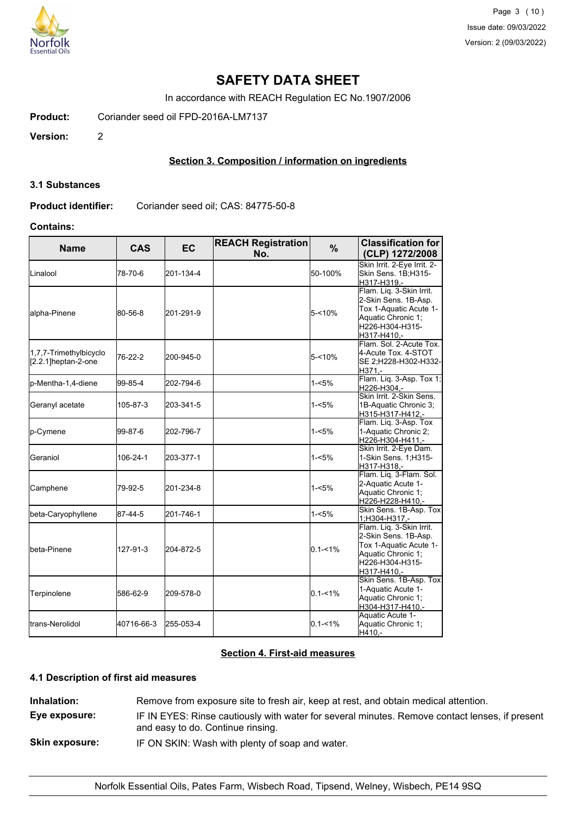

In accordance with REACH Regulation EC No.1907/2006

**Product:** Coriander seed oil FPD-2016A-LM7137

**Version:** 2

# **Section 3. Composition / information on ingredients**

#### **3.1 Substances**

**Product identifier:** Coriander seed oil; CAS: 84775-50-8

### **Contains:**

| <b>Name</b>                                   | <b>CAS</b> | <b>EC</b> | <b>REACH Registration</b><br>No. | %           | <b>Classification for</b><br>(CLP) 1272/2008                                                                                       |
|-----------------------------------------------|------------|-----------|----------------------------------|-------------|------------------------------------------------------------------------------------------------------------------------------------|
| <b>L</b> inalool                              | 78-70-6    | 201-134-4 |                                  | 50-100%     | Skin Irrit. 2-Eye Irrit. 2-<br>Skin Sens. 1B;H315-<br>H317-H319,-                                                                  |
| alpha-Pinene                                  | 80-56-8    | 201-291-9 |                                  | $5 - 10%$   | Flam. Liq. 3-Skin Irrit.<br>2-Skin Sens. 1B-Asp.<br>Tox 1-Aquatic Acute 1-<br>Aquatic Chronic 1;<br>H226-H304-H315-<br>H317-H410,- |
| 1,7,7-Trimethylbicyclo<br>[2.2.1]heptan-2-one | 76-22-2    | 200-945-0 |                                  | $5 - 10%$   | Flam. Sol. 2-Acute Tox.<br>4-Acute Tox. 4-STOT<br>SE 2;H228-H302-H332-<br>H371.-                                                   |
| p-Mentha-1,4-diene                            | 99-85-4    | 202-794-6 |                                  | $1 - 5%$    | Flam. Liq. 3-Asp. Tox 1;<br>H226-H304,-                                                                                            |
| Geranyl acetate                               | 105-87-3   | 203-341-5 |                                  | 1-<5%       | Skin Irrit. 2-Skin Sens.<br>1B-Aquatic Chronic 3;<br>H315-H317-H412,-                                                              |
| p-Cymene                                      | 99-87-6    | 202-796-7 |                                  | $1 - 5%$    | Flam. Liq. 3-Asp. Tox<br>1-Aquatic Chronic 2;<br>H226-H304-H411,-                                                                  |
| Geraniol                                      | 106-24-1   | 203-377-1 |                                  | $1 - 5%$    | Skin Irrit. 2-Eye Dam.<br>1-Skin Sens. 1; H315-<br>H317-H318,-                                                                     |
| Camphene                                      | 79-92-5    | 201-234-8 |                                  | $1 - 5%$    | Flam. Liq. 3-Flam. Sol.<br>2-Aquatic Acute 1-<br>Aquatic Chronic 1;<br>H226-H228-H410,-                                            |
| beta-Caryophyllene                            | 87-44-5    | 201-746-1 |                                  | $1 - 5%$    | Skin Sens. 1B-Asp. Tox<br>1;H304-H317,-                                                                                            |
| <b>I</b> beta-Pinene                          | 127-91-3   | 204-872-5 |                                  | $0.1 - 1\%$ | Flam. Liq. 3-Skin Irrit.<br>2-Skin Sens. 1B-Asp.<br>Tox 1-Aquatic Acute 1-<br>Aquatic Chronic 1;<br>H226-H304-H315-<br>H317-H410,- |
| Terpinolene                                   | 586-62-9   | 209-578-0 |                                  | $0.1 - 1%$  | Skin Sens. 1B-Asp. Tox<br>1-Aquatic Acute 1-<br>Aquatic Chronic 1;<br>H304-H317-H410,-                                             |
| <b>I</b> trans-Nerolidol                      | 40716-66-3 | 255-053-4 |                                  | $0.1 - 1\%$ | Aquatic Acute 1-<br>Aquatic Chronic 1;<br>H410,-                                                                                   |

# **Section 4. First-aid measures**

### **4.1 Description of first aid measures**

**Inhalation:** Remove from exposure site to fresh air, keep at rest, and obtain medical attention. **Eye exposure:** IF IN EYES: Rinse cautiously with water for several minutes. Remove contact lenses, if present and easy to do. Continue rinsing. **Skin exposure:** IF ON SKIN: Wash with plenty of soap and water.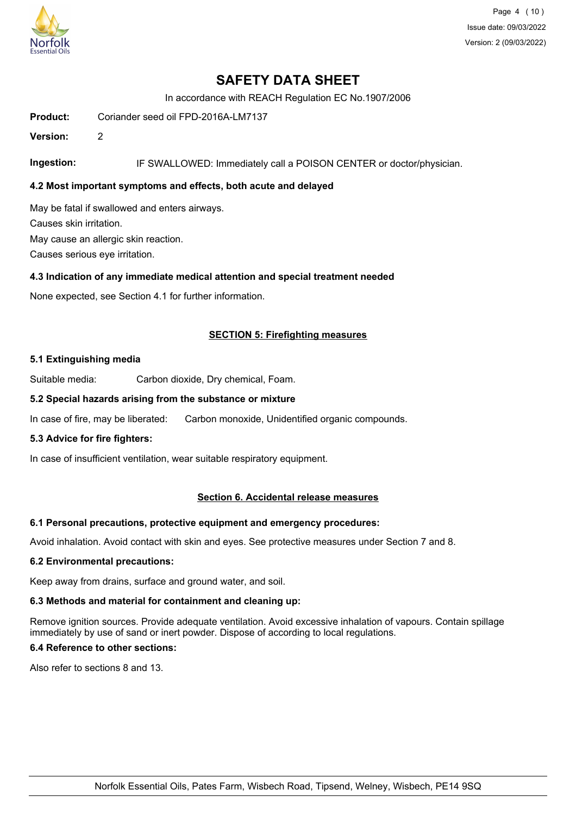

Page 4 (10) Issue date: 09/03/2022 Version: 2 (09/03/2022)

# **SAFETY DATA SHEET**

In accordance with REACH Regulation EC No.1907/2006

**Product:** Coriander seed oil FPD-2016A-LM7137

**Version:** 2

**Ingestion:** IF SWALLOWED: Immediately call a POISON CENTER or doctor/physician.

# **4.2 Most important symptoms and effects, both acute and delayed**

May be fatal if swallowed and enters airways. Causes skin irritation. May cause an allergic skin reaction. Causes serious eye irritation.

#### **4.3 Indication of any immediate medical attention and special treatment needed**

None expected, see Section 4.1 for further information.

### **SECTION 5: Firefighting measures**

#### **5.1 Extinguishing media**

Suitable media: Carbon dioxide, Dry chemical, Foam.

#### **5.2 Special hazards arising from the substance or mixture**

In case of fire, may be liberated: Carbon monoxide, Unidentified organic compounds.

### **5.3 Advice for fire fighters:**

In case of insufficient ventilation, wear suitable respiratory equipment.

#### **Section 6. Accidental release measures**

#### **6.1 Personal precautions, protective equipment and emergency procedures:**

Avoid inhalation. Avoid contact with skin and eyes. See protective measures under Section 7 and 8.

#### **6.2 Environmental precautions:**

Keep away from drains, surface and ground water, and soil.

# **6.3 Methods and material for containment and cleaning up:**

Remove ignition sources. Provide adequate ventilation. Avoid excessive inhalation of vapours. Contain spillage immediately by use of sand or inert powder. Dispose of according to local regulations.

# **6.4 Reference to other sections:**

Also refer to sections 8 and 13.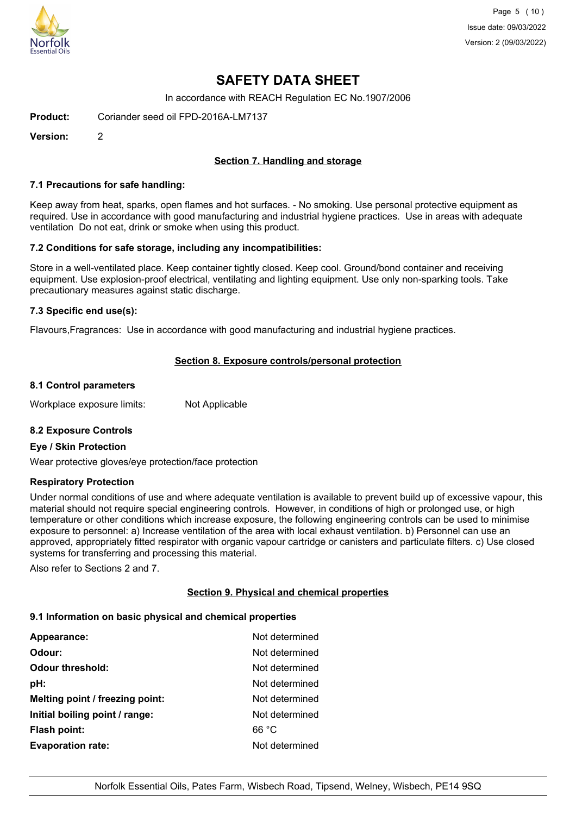

Page 5 (10) Issue date: 09/03/2022 Version: 2 (09/03/2022)

# **SAFETY DATA SHEET**

In accordance with REACH Regulation EC No.1907/2006

**Product:** Coriander seed oil FPD-2016A-LM7137

**Version:** 2

# **Section 7. Handling and storage**

#### **7.1 Precautions for safe handling:**

Keep away from heat, sparks, open flames and hot surfaces. - No smoking. Use personal protective equipment as required. Use in accordance with good manufacturing and industrial hygiene practices. Use in areas with adequate ventilation Do not eat, drink or smoke when using this product.

### **7.2 Conditions for safe storage, including any incompatibilities:**

Store in a well-ventilated place. Keep container tightly closed. Keep cool. Ground/bond container and receiving equipment. Use explosion-proof electrical, ventilating and lighting equipment. Use only non-sparking tools. Take precautionary measures against static discharge.

### **7.3 Specific end use(s):**

Flavours,Fragrances: Use in accordance with good manufacturing and industrial hygiene practices.

# **Section 8. Exposure controls/personal protection**

#### **8.1 Control parameters**

Workplace exposure limits: Not Applicable

# **8.2 Exposure Controls**

#### **Eye / Skin Protection**

Wear protective gloves/eye protection/face protection

# **Respiratory Protection**

Under normal conditions of use and where adequate ventilation is available to prevent build up of excessive vapour, this material should not require special engineering controls. However, in conditions of high or prolonged use, or high temperature or other conditions which increase exposure, the following engineering controls can be used to minimise exposure to personnel: a) Increase ventilation of the area with local exhaust ventilation. b) Personnel can use an approved, appropriately fitted respirator with organic vapour cartridge or canisters and particulate filters. c) Use closed systems for transferring and processing this material.

Also refer to Sections 2 and 7.

# **Section 9. Physical and chemical properties**

#### **9.1 Information on basic physical and chemical properties**

| Appearance:                     | Not determined |
|---------------------------------|----------------|
| Odour:                          | Not determined |
| <b>Odour threshold:</b>         | Not determined |
| pH:                             | Not determined |
| Melting point / freezing point: | Not determined |
| Initial boiling point / range:  | Not determined |
| <b>Flash point:</b>             | 66 °C          |
| <b>Evaporation rate:</b>        | Not determined |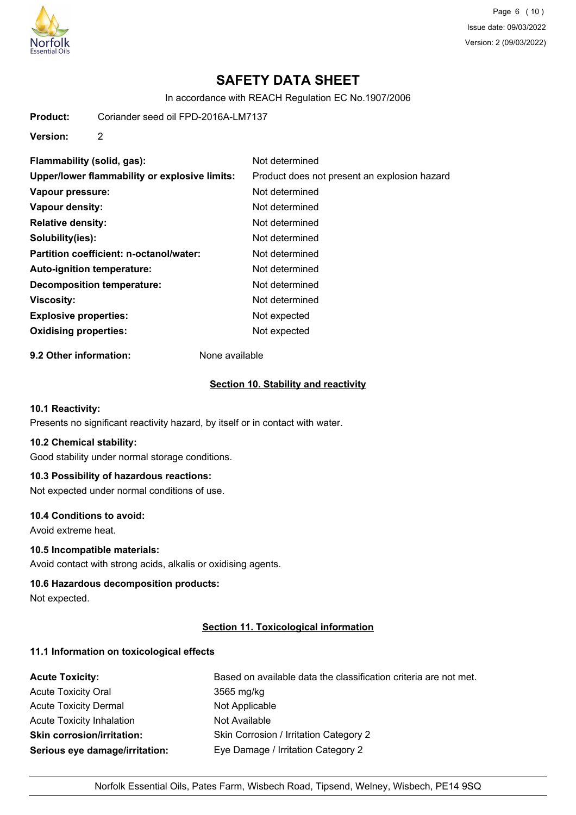

Page 6 (10) Issue date: 09/03/2022 Version: 2 (09/03/2022)

# **SAFETY DATA SHEET**

In accordance with REACH Regulation EC No.1907/2006

**Product:** Coriander seed oil FPD-2016A-LM7137

**Version:** 2

| Flammability (solid, gas):                    | Not determined                               |
|-----------------------------------------------|----------------------------------------------|
| Upper/lower flammability or explosive limits: | Product does not present an explosion hazard |
| Vapour pressure:                              | Not determined                               |
| Vapour density:                               | Not determined                               |
| <b>Relative density:</b>                      | Not determined                               |
| Solubility(ies):                              | Not determined                               |
| Partition coefficient: n-octanol/water:       | Not determined                               |
| Auto-ignition temperature:                    | Not determined                               |
| Decomposition temperature:                    | Not determined                               |
| Viscosity:                                    | Not determined                               |
| <b>Explosive properties:</b>                  | Not expected                                 |
| <b>Oxidising properties:</b>                  | Not expected                                 |
|                                               |                                              |

**9.2 Other information:** None available

#### **Section 10. Stability and reactivity**

# **10.1 Reactivity:**

Presents no significant reactivity hazard, by itself or in contact with water.

### **10.2 Chemical stability:**

Good stability under normal storage conditions.

# **10.3 Possibility of hazardous reactions:**

Not expected under normal conditions of use.

#### **10.4 Conditions to avoid:**

Avoid extreme heat.

### **10.5 Incompatible materials:**

Avoid contact with strong acids, alkalis or oxidising agents.

#### **10.6 Hazardous decomposition products:**

Not expected.

### **Section 11. Toxicological information**

# **11.1 Information on toxicological effects**

| <b>Acute Toxicity:</b>            | Based on available data the classification criteria are not met. |
|-----------------------------------|------------------------------------------------------------------|
| <b>Acute Toxicity Oral</b>        | 3565 mg/kg                                                       |
| <b>Acute Toxicity Dermal</b>      | Not Applicable                                                   |
| <b>Acute Toxicity Inhalation</b>  | Not Available                                                    |
| <b>Skin corrosion/irritation:</b> | Skin Corrosion / Irritation Category 2                           |
| Serious eye damage/irritation:    | Eye Damage / Irritation Category 2                               |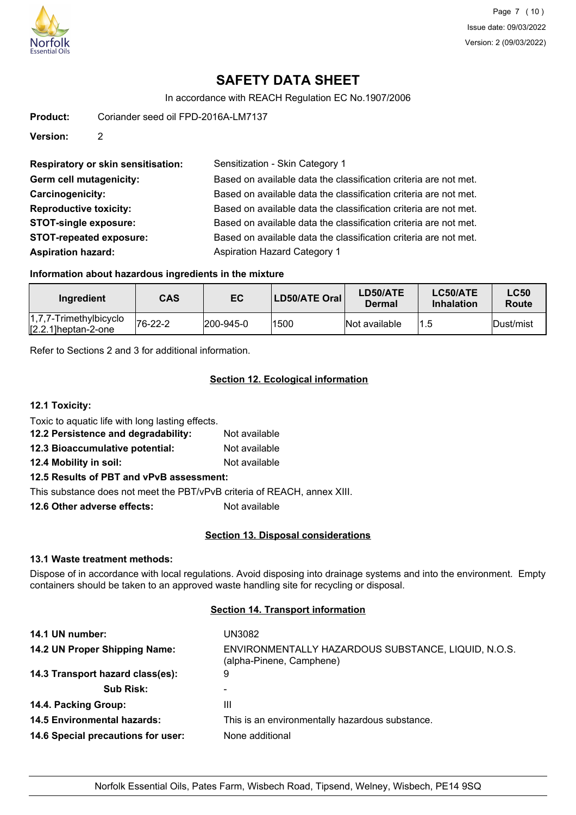

In accordance with REACH Regulation EC No.1907/2006

**Product:** Coriander seed oil FPD-2016A-LM7137

**Version:** 2

**Respiratory or skin sensitisation:** Sensitization - Skin Category 1 Germ cell mutagenicity: **Based on available data the classification** criteria are not met. **Carcinogenicity:** Based on available data the classification criteria are not met. **Reproductive toxicity:** Based on available data the classification criteria are not met. **STOT-single exposure:** Based on available data the classification criteria are not met. **STOT-repeated exposure:** Based on available data the classification criteria are not met. **Aspiration hazard:** Aspiration Hazard Category 1

# **Information about hazardous ingredients in the mixture**

| Ingredient                                          | <b>CAS</b> | EC        | LD50/ATE Oral | LD50/ATE<br>Dermal | LC50/ATE<br><b>Inhalation</b> | <b>LC50</b><br>Route |
|-----------------------------------------------------|------------|-----------|---------------|--------------------|-------------------------------|----------------------|
| $1,7,7$ -Trimethylbicyclo<br>$[2.2.1]$ heptan-2-one | 76-22-2    | 200-945-0 | 1500          | Not available      |                               | lDust/mist           |

Refer to Sections 2 and 3 for additional information.

# **Section 12. Ecological information**

#### **12.1 Toxicity:**

Toxic to aquatic life with long lasting effects.

- **12.2 Persistence and degradability:** Not available
- **12.3 Bioaccumulative potential:** Not available

**12.4 Mobility in soil:** Not available

# **12.5 Results of PBT and vPvB assessment:**

This substance does not meet the PBT/vPvB criteria of REACH, annex XIII.

**12.6 Other adverse effects:** Not available

# **Section 13. Disposal considerations**

# **13.1 Waste treatment methods:**

Dispose of in accordance with local regulations. Avoid disposing into drainage systems and into the environment. Empty containers should be taken to an approved waste handling site for recycling or disposal.

# **Section 14. Transport information**

| 14.1 UN number:                    | UN3082                                                                          |
|------------------------------------|---------------------------------------------------------------------------------|
| 14.2 UN Proper Shipping Name:      | ENVIRONMENTALLY HAZARDOUS SUBSTANCE, LIQUID, N.O.S.<br>(alpha-Pinene, Camphene) |
| 14.3 Transport hazard class(es):   | 9                                                                               |
| <b>Sub Risk:</b>                   | $\overline{\phantom{0}}$                                                        |
| 14.4. Packing Group:               | Ш                                                                               |
| <b>14.5 Environmental hazards:</b> | This is an environmentally hazardous substance.                                 |
| 14.6 Special precautions for user: | None additional                                                                 |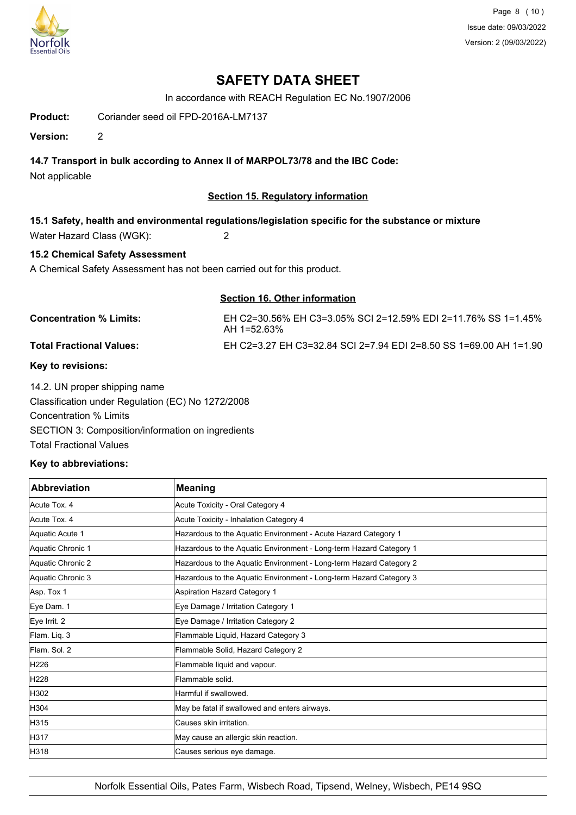

Page 8 (10) Issue date: 09/03/2022 Version: 2 (09/03/2022)

# **SAFETY DATA SHEET**

In accordance with REACH Regulation EC No.1907/2006

**Product:** Coriander seed oil FPD-2016A-LM7137

**Version:** 2

# **14.7 Transport in bulk according to Annex II of MARPOL73/78 and the IBC Code:**

Not applicable

# **Section 15. Regulatory information**

**15.1 Safety, health and environmental regulations/legislation specific for the substance or mixture** Water Hazard Class (WGK): 2

# **15.2 Chemical Safety Assessment**

A Chemical Safety Assessment has not been carried out for this product.

**Section 16. Other information**

# **Concentration % Limits:** EH C2=30.56% EH C3=3.05% SCI 2=12.59% EDI 2=11.76% SS 1=1.45%

AH 1=52.63% **Total Fractional Values:** EH C2=3.27 EH C3=32.84 SCI 2=7.94 EDI 2=8.50 SS 1=69.00 AH 1=1.90

# **Key to revisions:**

14.2. UN proper shipping name Classification under Regulation (EC) No 1272/2008 Concentration % Limits SECTION 3: Composition/information on ingredients Total Fractional Values

# **Key to abbreviations:**

| <b>Abbreviation</b> | <b>Meaning</b>                                                     |
|---------------------|--------------------------------------------------------------------|
| Acute Tox. 4        | Acute Toxicity - Oral Category 4                                   |
| Acute Tox, 4        | Acute Toxicity - Inhalation Category 4                             |
| Aquatic Acute 1     | Hazardous to the Aquatic Environment - Acute Hazard Category 1     |
| Aquatic Chronic 1   | Hazardous to the Aquatic Environment - Long-term Hazard Category 1 |
| Aquatic Chronic 2   | Hazardous to the Aquatic Environment - Long-term Hazard Category 2 |
| Aquatic Chronic 3   | Hazardous to the Aquatic Environment - Long-term Hazard Category 3 |
| Asp. Tox 1          | Aspiration Hazard Category 1                                       |
| Eye Dam. 1          | Eye Damage / Irritation Category 1                                 |
| Eye Irrit. 2        | Eye Damage / Irritation Category 2                                 |
| Flam. Liq. 3        | Flammable Liquid, Hazard Category 3                                |
| Flam, Sol. 2        | Flammable Solid, Hazard Category 2                                 |
| H <sub>226</sub>    | Flammable liquid and vapour.                                       |
| H <sub>228</sub>    | Flammable solid.                                                   |
| H302                | Harmful if swallowed.                                              |
| H304                | May be fatal if swallowed and enters airways.                      |
| H315                | Causes skin irritation.                                            |
| H317                | May cause an allergic skin reaction.                               |
| H318                | Causes serious eye damage.                                         |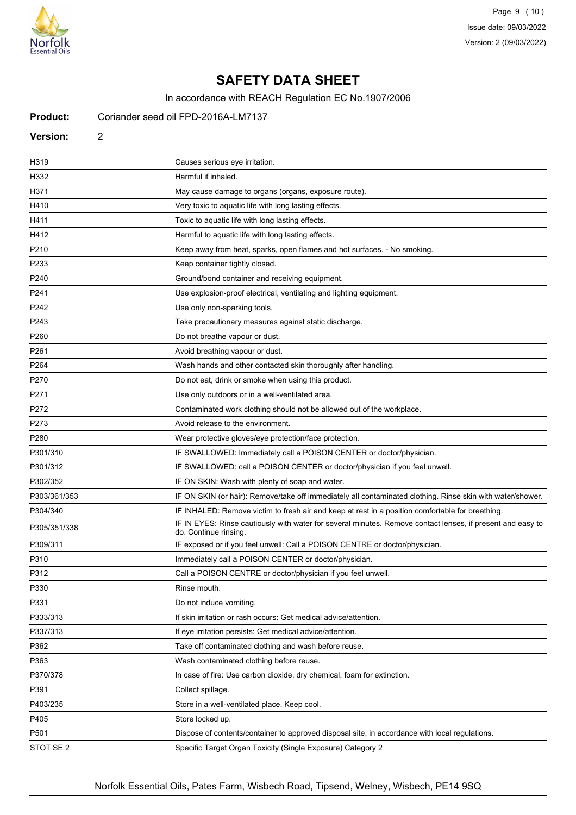

Page 9 (10) Issue date: 09/03/2022 Version: 2 (09/03/2022)

# **SAFETY DATA SHEET**

In accordance with REACH Regulation EC No.1907/2006

#### **Product:** Coriander seed oil FPD-2016A-LM7137

**Version:** 2

H319 **Causes serious eye irritation.** H332 Harmful if inhaled. H371 May cause damage to organs (organs, exposure route). H410 **Hallo** Very toxic to aquatic life with long lasting effects. H411 Toxic to aquatic life with long lasting effects. H412 **Harmful to aquatic life with long lasting effects.** P210 **Keep away from heat, sparks, open flames and hot surfaces.** - No smoking. P233 **Keep container tightly closed.** Keep container tightly closed. P240 **Container and receiving equipment.** Ground/bond container and receiving equipment. P241 Use explosion-proof electrical, ventilating and lighting equipment. P242 **Disember 19 and Disember 10 and Disember 10 and Disemant P242** P243 **Take precautionary measures against static discharge.** P260 **Do not breathe vapour or dust.** P261 **P261 Avoid breathing vapour or dust.** P264 Wash hands and other contacted skin thoroughly after handling. P270 **Do not eat, drink or smoke when using this product.** P271 **P271 Example 2018** Use only outdoors or in a well-ventilated area. P272 **Contaminated work clothing should not be allowed out of the workplace.** P273 **Avoid release to the environment.** P280 **Wear protective gloves/eye protection/face protection.** P301/310 **IF SWALLOWED:** Immediately call a POISON CENTER or doctor/physician. P301/312 **IF SWALLOWED: call a POISON CENTER or doctor/physician if you feel unwell.** P302/352 **IF ON SKIN: Wash with plenty of soap and water.** P303/361/353 **IF ON SKIN (or hair): Remove/take off immediately all contaminated clothing. Rinse skin with water/shower.** P304/340 **IF INHALED: Remove victim to fresh air and keep at rest in a position comfortable for breathing.** P305/351/338 **IF IN EYES: Rinse cautiously with water for several minutes. Remove contact lenses, if present and easy to** do. Continue rinsing. P309/311 **IF exposed or if you feel unwell: Call a POISON CENTRE or doctor/physician.** P310 Immediately call a POISON CENTER or doctor/physician. P312 **P312** Call a POISON CENTRE or doctor/physician if you feel unwell. P330 Rinse mouth P331 Do not induce vomiting. P333/313 **If skin irritation or rash occurs: Get medical advice/attention.** P337/313 If eye irritation persists: Get medical advice/attention. P362 **Take off contaminated clothing and wash before reuse.** P363 Wash contaminated clothing before reuse. P370/378 In case of fire: Use carbon dioxide, dry chemical, foam for extinction. **P391** Collect spillage. P403/235 Store in a well-ventilated place. Keep cool. P405 Store locked up. P501 Dispose of contents/container to approved disposal site, in accordance with local regulations. STOT SE 2 Specific Target Organ Toxicity (Single Exposure) Category 2